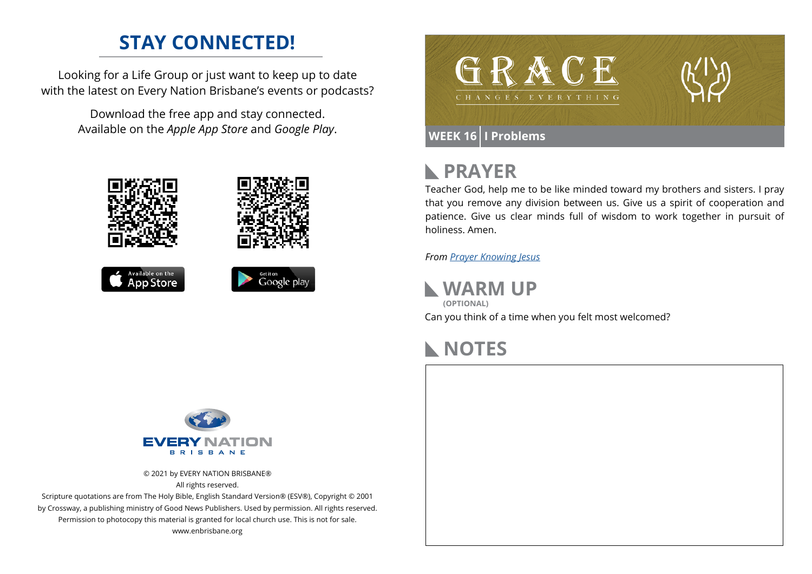## **STAY CONNECTED!**

Looking for a Life Group or just want to keep up to date with the latest on Every Nation Brisbane's events or podcasts?

> Download the free app and stay connected. Available on the *Apple App Store* and *Google Play*.











## **PRAYER**

Teacher God, help me to be like minded toward my brothers and sisters. I pray that you remove any division between us. Give us a spirit of cooperation and patience. Give us clear minds full of wisdom to work together in pursuit of holiness. Amen.

*From [Prayer](https://dailyprayerguide.net/a-prayer-to-be-like-minded-toward-each-other-romans-15-5/) Knowing Jesus*

**WARM UP**

Can you think of a time when you felt most welcomed? **(OPTIONAL)**

## **NOTES**



© 2021 by EVERY NATION BRISBANE® All rights reserved.

Scripture quotations are from The Holy Bible, English Standard Version® (ESV®), Copyright © 2001 by Crossway, a publishing ministry of Good News Publishers. Used by permission. All rights reserved. Permission to photocopy this material is granted for local church use. This is not for sale. www.enbrisbane.org